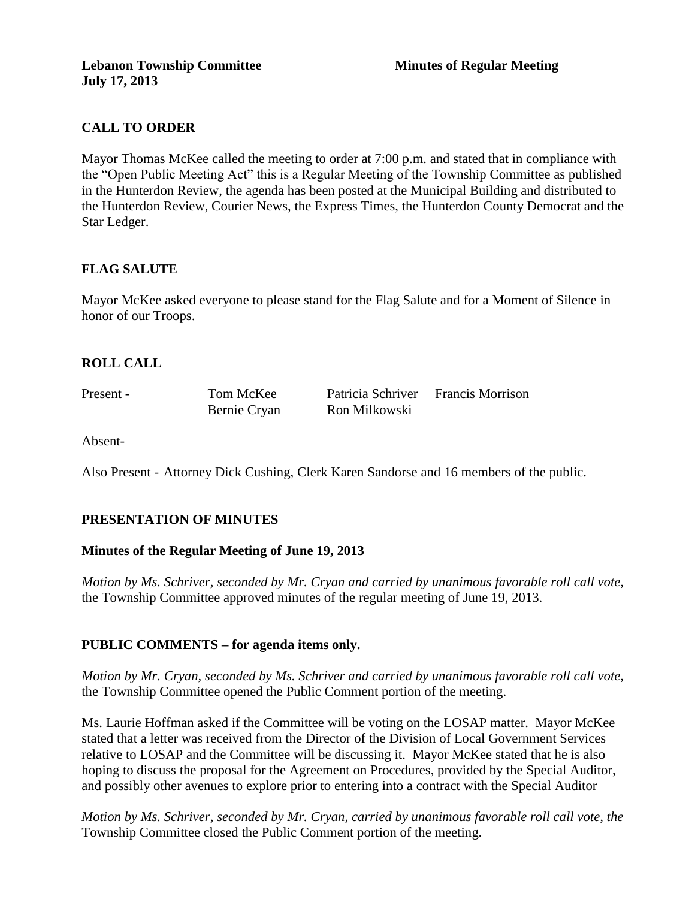# **CALL TO ORDER**

Mayor Thomas McKee called the meeting to order at 7:00 p.m. and stated that in compliance with the "Open Public Meeting Act" this is a Regular Meeting of the Township Committee as published in the Hunterdon Review, the agenda has been posted at the Municipal Building and distributed to the Hunterdon Review, Courier News, the Express Times, the Hunterdon County Democrat and the Star Ledger.

# **FLAG SALUTE**

Mayor McKee asked everyone to please stand for the Flag Salute and for a Moment of Silence in honor of our Troops.

### **ROLL CALL**

Present - Tom McKee Patricia Schriver Francis Morrison Bernie Cryan Ron Milkowski

Absent-

Also Present - Attorney Dick Cushing, Clerk Karen Sandorse and 16 members of the public.

# **PRESENTATION OF MINUTES**

#### **Minutes of the Regular Meeting of June 19, 2013**

*Motion by Ms. Schriver, seconded by Mr. Cryan and carried by unanimous favorable roll call vote,* the Township Committee approved minutes of the regular meeting of June 19, 2013.

#### **PUBLIC COMMENTS – for agenda items only.**

*Motion by Mr. Cryan, seconded by Ms. Schriver and carried by unanimous favorable roll call vote,* the Township Committee opened the Public Comment portion of the meeting.

Ms. Laurie Hoffman asked if the Committee will be voting on the LOSAP matter. Mayor McKee stated that a letter was received from the Director of the Division of Local Government Services relative to LOSAP and the Committee will be discussing it. Mayor McKee stated that he is also hoping to discuss the proposal for the Agreement on Procedures, provided by the Special Auditor, and possibly other avenues to explore prior to entering into a contract with the Special Auditor

*Motion by Ms. Schriver, seconded by Mr. Cryan, carried by unanimous favorable roll call vote, the* Township Committee closed the Public Comment portion of the meeting.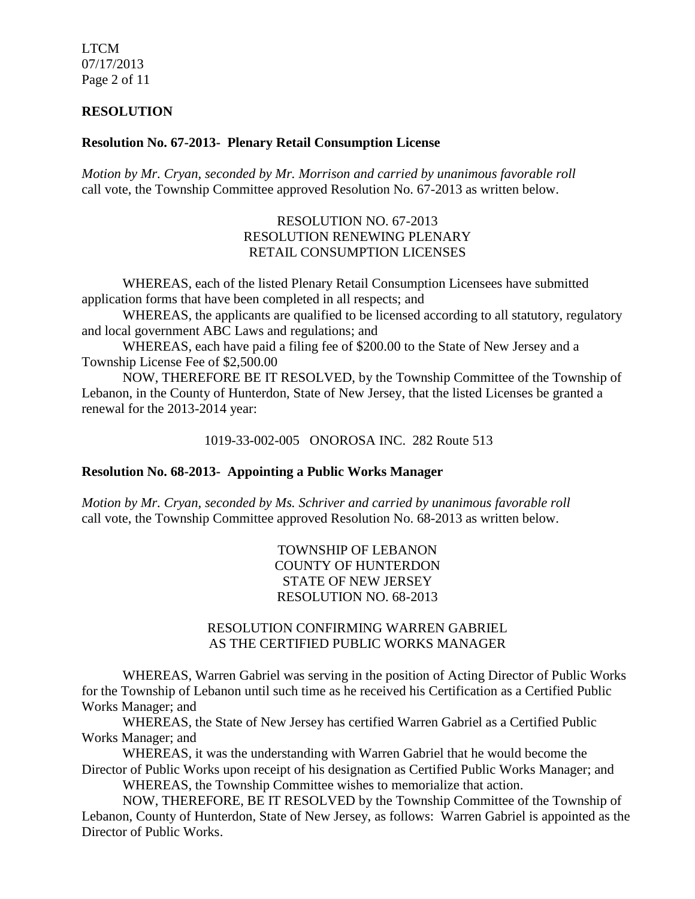LTCM 07/17/2013 Page 2 of 11

#### **RESOLUTION**

#### **Resolution No. 67-2013- Plenary Retail Consumption License**

*Motion by Mr. Cryan, seconded by Mr. Morrison and carried by unanimous favorable roll*  call vote, the Township Committee approved Resolution No. 67-2013 as written below.

#### RESOLUTION NO. 67-2013 RESOLUTION RENEWING PLENARY RETAIL CONSUMPTION LICENSES

WHEREAS, each of the listed Plenary Retail Consumption Licensees have submitted application forms that have been completed in all respects; and

WHEREAS, the applicants are qualified to be licensed according to all statutory, regulatory and local government ABC Laws and regulations; and

WHEREAS, each have paid a filing fee of \$200.00 to the State of New Jersey and a Township License Fee of \$2,500.00

NOW, THEREFORE BE IT RESOLVED, by the Township Committee of the Township of Lebanon, in the County of Hunterdon, State of New Jersey, that the listed Licenses be granted a renewal for the 2013-2014 year:

1019-33-002-005 ONOROSA INC. 282 Route 513

#### **Resolution No. 68-2013- Appointing a Public Works Manager**

*Motion by Mr. Cryan, seconded by Ms. Schriver and carried by unanimous favorable roll*  call vote, the Township Committee approved Resolution No. 68-2013 as written below.

> TOWNSHIP OF LEBANON COUNTY OF HUNTERDON STATE OF NEW JERSEY RESOLUTION NO. 68-2013

### RESOLUTION CONFIRMING WARREN GABRIEL AS THE CERTIFIED PUBLIC WORKS MANAGER

WHEREAS, Warren Gabriel was serving in the position of Acting Director of Public Works for the Township of Lebanon until such time as he received his Certification as a Certified Public Works Manager; and

WHEREAS, the State of New Jersey has certified Warren Gabriel as a Certified Public Works Manager; and

WHEREAS, it was the understanding with Warren Gabriel that he would become the Director of Public Works upon receipt of his designation as Certified Public Works Manager; and

WHEREAS, the Township Committee wishes to memorialize that action.

NOW, THEREFORE, BE IT RESOLVED by the Township Committee of the Township of Lebanon, County of Hunterdon, State of New Jersey, as follows: Warren Gabriel is appointed as the Director of Public Works.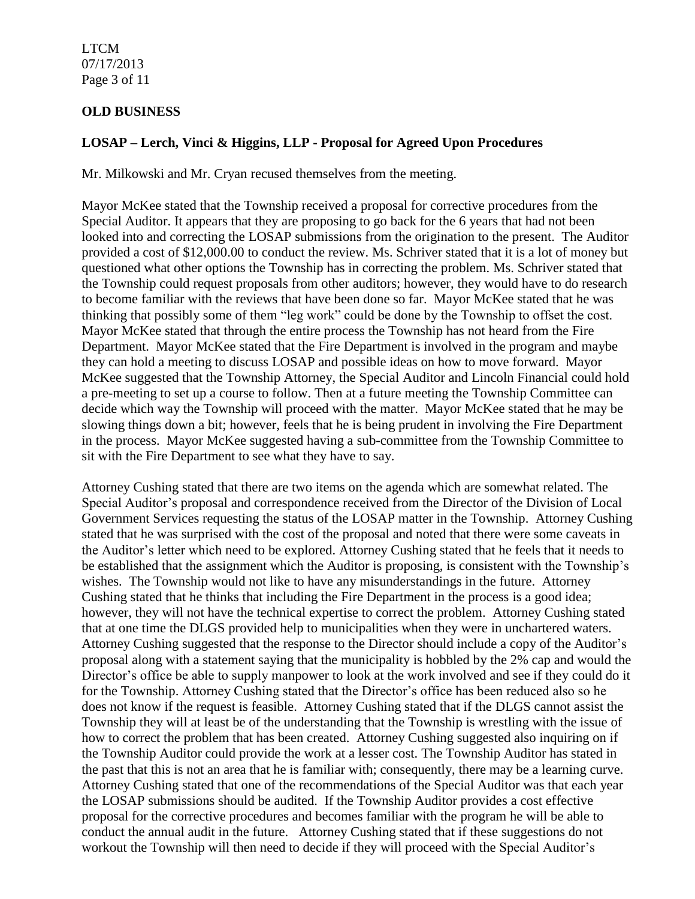LTCM 07/17/2013 Page 3 of 11

# **OLD BUSINESS**

# **LOSAP – Lerch, Vinci & Higgins, LLP - Proposal for Agreed Upon Procedures**

Mr. Milkowski and Mr. Cryan recused themselves from the meeting.

Mayor McKee stated that the Township received a proposal for corrective procedures from the Special Auditor. It appears that they are proposing to go back for the 6 years that had not been looked into and correcting the LOSAP submissions from the origination to the present. The Auditor provided a cost of \$12,000.00 to conduct the review. Ms. Schriver stated that it is a lot of money but questioned what other options the Township has in correcting the problem. Ms. Schriver stated that the Township could request proposals from other auditors; however, they would have to do research to become familiar with the reviews that have been done so far. Mayor McKee stated that he was thinking that possibly some of them "leg work" could be done by the Township to offset the cost. Mayor McKee stated that through the entire process the Township has not heard from the Fire Department. Mayor McKee stated that the Fire Department is involved in the program and maybe they can hold a meeting to discuss LOSAP and possible ideas on how to move forward. Mayor McKee suggested that the Township Attorney, the Special Auditor and Lincoln Financial could hold a pre-meeting to set up a course to follow. Then at a future meeting the Township Committee can decide which way the Township will proceed with the matter. Mayor McKee stated that he may be slowing things down a bit; however, feels that he is being prudent in involving the Fire Department in the process. Mayor McKee suggested having a sub-committee from the Township Committee to sit with the Fire Department to see what they have to say.

Attorney Cushing stated that there are two items on the agenda which are somewhat related. The Special Auditor's proposal and correspondence received from the Director of the Division of Local Government Services requesting the status of the LOSAP matter in the Township. Attorney Cushing stated that he was surprised with the cost of the proposal and noted that there were some caveats in the Auditor's letter which need to be explored. Attorney Cushing stated that he feels that it needs to be established that the assignment which the Auditor is proposing, is consistent with the Township's wishes. The Township would not like to have any misunderstandings in the future. Attorney Cushing stated that he thinks that including the Fire Department in the process is a good idea; however, they will not have the technical expertise to correct the problem. Attorney Cushing stated that at one time the DLGS provided help to municipalities when they were in unchartered waters. Attorney Cushing suggested that the response to the Director should include a copy of the Auditor's proposal along with a statement saying that the municipality is hobbled by the 2% cap and would the Director's office be able to supply manpower to look at the work involved and see if they could do it for the Township. Attorney Cushing stated that the Director's office has been reduced also so he does not know if the request is feasible. Attorney Cushing stated that if the DLGS cannot assist the Township they will at least be of the understanding that the Township is wrestling with the issue of how to correct the problem that has been created. Attorney Cushing suggested also inquiring on if the Township Auditor could provide the work at a lesser cost. The Township Auditor has stated in the past that this is not an area that he is familiar with; consequently, there may be a learning curve. Attorney Cushing stated that one of the recommendations of the Special Auditor was that each year the LOSAP submissions should be audited. If the Township Auditor provides a cost effective proposal for the corrective procedures and becomes familiar with the program he will be able to conduct the annual audit in the future. Attorney Cushing stated that if these suggestions do not workout the Township will then need to decide if they will proceed with the Special Auditor's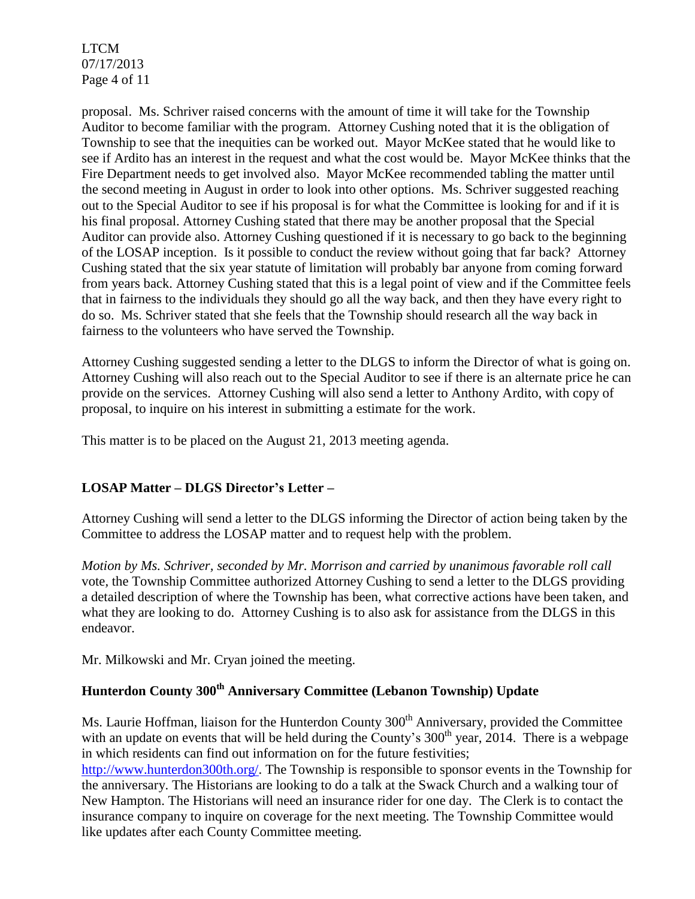LTCM 07/17/2013 Page 4 of 11

proposal. Ms. Schriver raised concerns with the amount of time it will take for the Township Auditor to become familiar with the program. Attorney Cushing noted that it is the obligation of Township to see that the inequities can be worked out. Mayor McKee stated that he would like to see if Ardito has an interest in the request and what the cost would be. Mayor McKee thinks that the Fire Department needs to get involved also. Mayor McKee recommended tabling the matter until the second meeting in August in order to look into other options. Ms. Schriver suggested reaching out to the Special Auditor to see if his proposal is for what the Committee is looking for and if it is his final proposal. Attorney Cushing stated that there may be another proposal that the Special Auditor can provide also. Attorney Cushing questioned if it is necessary to go back to the beginning of the LOSAP inception. Is it possible to conduct the review without going that far back? Attorney Cushing stated that the six year statute of limitation will probably bar anyone from coming forward from years back. Attorney Cushing stated that this is a legal point of view and if the Committee feels that in fairness to the individuals they should go all the way back, and then they have every right to do so. Ms. Schriver stated that she feels that the Township should research all the way back in fairness to the volunteers who have served the Township.

Attorney Cushing suggested sending a letter to the DLGS to inform the Director of what is going on. Attorney Cushing will also reach out to the Special Auditor to see if there is an alternate price he can provide on the services. Attorney Cushing will also send a letter to Anthony Ardito, with copy of proposal, to inquire on his interest in submitting a estimate for the work.

This matter is to be placed on the August 21, 2013 meeting agenda.

# **LOSAP Matter – DLGS Director's Letter –**

Attorney Cushing will send a letter to the DLGS informing the Director of action being taken by the Committee to address the LOSAP matter and to request help with the problem.

*Motion by Ms. Schriver, seconded by Mr. Morrison and carried by unanimous favorable roll call*  vote*,* the Township Committee authorized Attorney Cushing to send a letter to the DLGS providing a detailed description of where the Township has been, what corrective actions have been taken, and what they are looking to do. Attorney Cushing is to also ask for assistance from the DLGS in this endeavor.

Mr. Milkowski and Mr. Cryan joined the meeting.

# **Hunterdon County 300th Anniversary Committee (Lebanon Township) Update**

Ms. Laurie Hoffman, liaison for the Hunterdon County 300<sup>th</sup> Anniversary, provided the Committee with an update on events that will be held during the County's  $300<sup>th</sup>$  year, 2014. There is a webpage in which residents can find out information on for the future festivities;

[http://www.hunterdon300th.org/.](http://www.hunterdon300th.org/) The Township is responsible to sponsor events in the Township for the anniversary. The Historians are looking to do a talk at the Swack Church and a walking tour of New Hampton. The Historians will need an insurance rider for one day. The Clerk is to contact the insurance company to inquire on coverage for the next meeting. The Township Committee would like updates after each County Committee meeting.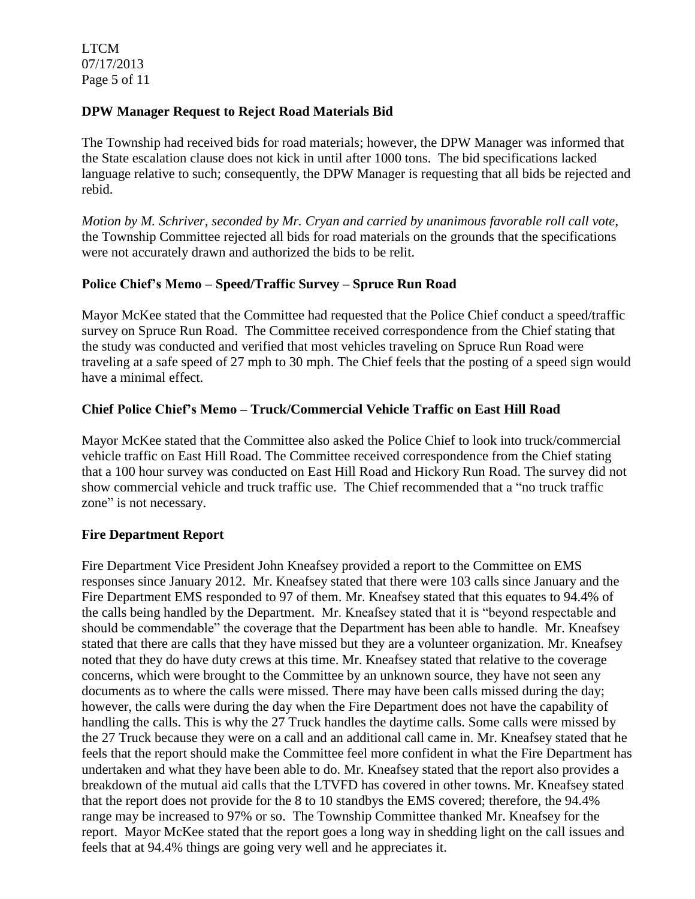LTCM 07/17/2013 Page 5 of 11

### **DPW Manager Request to Reject Road Materials Bid**

The Township had received bids for road materials; however, the DPW Manager was informed that the State escalation clause does not kick in until after 1000 tons. The bid specifications lacked language relative to such; consequently, the DPW Manager is requesting that all bids be rejected and rebid.

*Motion by M. Schriver, seconded by Mr. Cryan and carried by unanimous favorable roll call vote,* the Township Committee rejected all bids for road materials on the grounds that the specifications were not accurately drawn and authorized the bids to be relit.

### **Police Chief's Memo – Speed/Traffic Survey – Spruce Run Road**

Mayor McKee stated that the Committee had requested that the Police Chief conduct a speed/traffic survey on Spruce Run Road. The Committee received correspondence from the Chief stating that the study was conducted and verified that most vehicles traveling on Spruce Run Road were traveling at a safe speed of 27 mph to 30 mph. The Chief feels that the posting of a speed sign would have a minimal effect.

### **Chief Police Chief's Memo – Truck/Commercial Vehicle Traffic on East Hill Road**

Mayor McKee stated that the Committee also asked the Police Chief to look into truck/commercial vehicle traffic on East Hill Road. The Committee received correspondence from the Chief stating that a 100 hour survey was conducted on East Hill Road and Hickory Run Road. The survey did not show commercial vehicle and truck traffic use. The Chief recommended that a "no truck traffic zone" is not necessary.

#### **Fire Department Report**

Fire Department Vice President John Kneafsey provided a report to the Committee on EMS responses since January 2012. Mr. Kneafsey stated that there were 103 calls since January and the Fire Department EMS responded to 97 of them. Mr. Kneafsey stated that this equates to 94.4% of the calls being handled by the Department. Mr. Kneafsey stated that it is "beyond respectable and should be commendable" the coverage that the Department has been able to handle. Mr. Kneafsey stated that there are calls that they have missed but they are a volunteer organization. Mr. Kneafsey noted that they do have duty crews at this time. Mr. Kneafsey stated that relative to the coverage concerns, which were brought to the Committee by an unknown source, they have not seen any documents as to where the calls were missed. There may have been calls missed during the day; however, the calls were during the day when the Fire Department does not have the capability of handling the calls. This is why the 27 Truck handles the daytime calls. Some calls were missed by the 27 Truck because they were on a call and an additional call came in. Mr. Kneafsey stated that he feels that the report should make the Committee feel more confident in what the Fire Department has undertaken and what they have been able to do. Mr. Kneafsey stated that the report also provides a breakdown of the mutual aid calls that the LTVFD has covered in other towns. Mr. Kneafsey stated that the report does not provide for the 8 to 10 standbys the EMS covered; therefore, the 94.4% range may be increased to 97% or so. The Township Committee thanked Mr. Kneafsey for the report. Mayor McKee stated that the report goes a long way in shedding light on the call issues and feels that at 94.4% things are going very well and he appreciates it.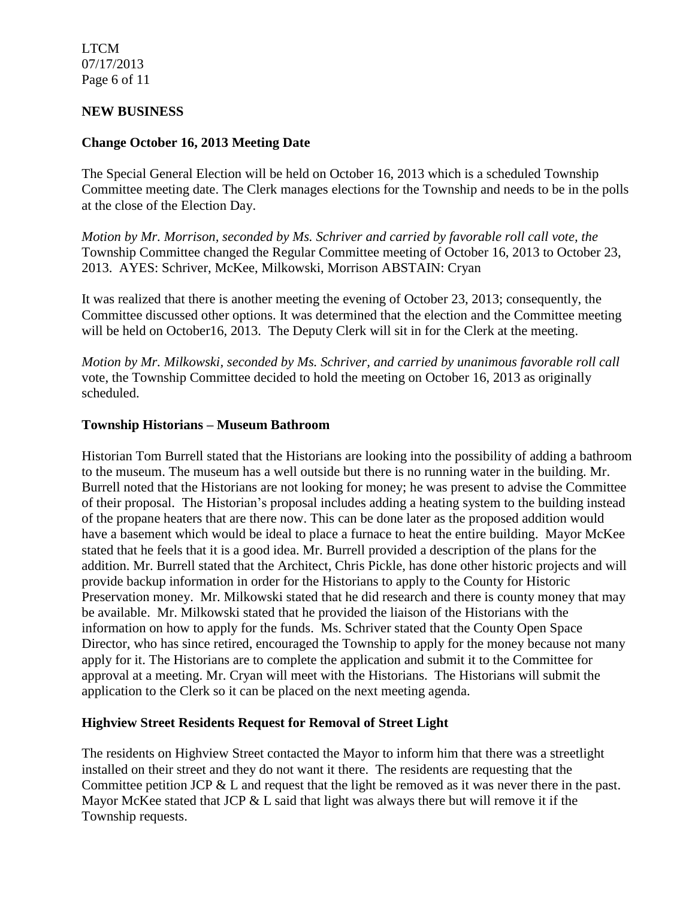LTCM 07/17/2013 Page 6 of 11

#### **NEW BUSINESS**

#### **Change October 16, 2013 Meeting Date**

The Special General Election will be held on October 16, 2013 which is a scheduled Township Committee meeting date. The Clerk manages elections for the Township and needs to be in the polls at the close of the Election Day.

*Motion by Mr. Morrison, seconded by Ms. Schriver and carried by favorable roll call vote, the* Township Committee changed the Regular Committee meeting of October 16, 2013 to October 23, 2013. AYES: Schriver, McKee, Milkowski, Morrison ABSTAIN: Cryan

It was realized that there is another meeting the evening of October 23, 2013; consequently, the Committee discussed other options. It was determined that the election and the Committee meeting will be held on October16, 2013. The Deputy Clerk will sit in for the Clerk at the meeting.

*Motion by Mr. Milkowski, seconded by Ms. Schriver, and carried by unanimous favorable roll call*  vote, the Township Committee decided to hold the meeting on October 16, 2013 as originally scheduled.

#### **Township Historians – Museum Bathroom**

Historian Tom Burrell stated that the Historians are looking into the possibility of adding a bathroom to the museum. The museum has a well outside but there is no running water in the building. Mr. Burrell noted that the Historians are not looking for money; he was present to advise the Committee of their proposal. The Historian's proposal includes adding a heating system to the building instead of the propane heaters that are there now. This can be done later as the proposed addition would have a basement which would be ideal to place a furnace to heat the entire building. Mayor McKee stated that he feels that it is a good idea. Mr. Burrell provided a description of the plans for the addition. Mr. Burrell stated that the Architect, Chris Pickle, has done other historic projects and will provide backup information in order for the Historians to apply to the County for Historic Preservation money. Mr. Milkowski stated that he did research and there is county money that may be available. Mr. Milkowski stated that he provided the liaison of the Historians with the information on how to apply for the funds. Ms. Schriver stated that the County Open Space Director, who has since retired, encouraged the Township to apply for the money because not many apply for it. The Historians are to complete the application and submit it to the Committee for approval at a meeting. Mr. Cryan will meet with the Historians. The Historians will submit the application to the Clerk so it can be placed on the next meeting agenda.

#### **Highview Street Residents Request for Removal of Street Light**

The residents on Highview Street contacted the Mayor to inform him that there was a streetlight installed on their street and they do not want it there. The residents are requesting that the Committee petition JCP & L and request that the light be removed as it was never there in the past. Mayor McKee stated that JCP & L said that light was always there but will remove it if the Township requests.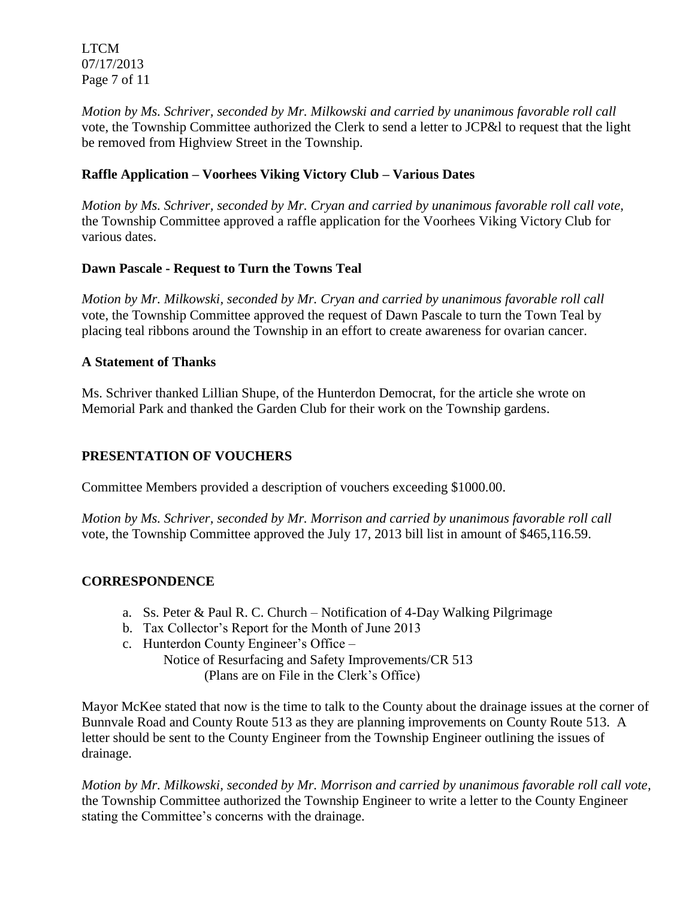LTCM 07/17/2013 Page 7 of 11

*Motion by Ms. Schriver, seconded by Mr. Milkowski and carried by unanimous favorable roll call*  vote, the Township Committee authorized the Clerk to send a letter to JCP&l to request that the light be removed from Highview Street in the Township.

# **Raffle Application – Voorhees Viking Victory Club – Various Dates**

*Motion by Ms. Schriver, seconded by Mr. Cryan and carried by unanimous favorable roll call vote,* the Township Committee approved a raffle application for the Voorhees Viking Victory Club for various dates.

# **Dawn Pascale - Request to Turn the Towns Teal**

*Motion by Mr. Milkowski, seconded by Mr. Cryan and carried by unanimous favorable roll call*  vote, the Township Committee approved the request of Dawn Pascale to turn the Town Teal by placing teal ribbons around the Township in an effort to create awareness for ovarian cancer.

# **A Statement of Thanks**

Ms. Schriver thanked Lillian Shupe, of the Hunterdon Democrat, for the article she wrote on Memorial Park and thanked the Garden Club for their work on the Township gardens.

# **PRESENTATION OF VOUCHERS**

Committee Members provided a description of vouchers exceeding \$1000.00.

*Motion by Ms. Schriver, seconded by Mr. Morrison and carried by unanimous favorable roll call*  vote, the Township Committee approved the July 17, 2013 bill list in amount of \$465,116.59.

# **CORRESPONDENCE**

- a. Ss. Peter & Paul R. C. Church Notification of 4-Day Walking Pilgrimage
- b. Tax Collector's Report for the Month of June 2013
- c. Hunterdon County Engineer's Office –

Notice of Resurfacing and Safety Improvements/CR 513 (Plans are on File in the Clerk's Office)

Mayor McKee stated that now is the time to talk to the County about the drainage issues at the corner of Bunnvale Road and County Route 513 as they are planning improvements on County Route 513. A letter should be sent to the County Engineer from the Township Engineer outlining the issues of drainage.

*Motion by Mr. Milkowski, seconded by Mr. Morrison and carried by unanimous favorable roll call vote,* the Township Committee authorized the Township Engineer to write a letter to the County Engineer stating the Committee's concerns with the drainage.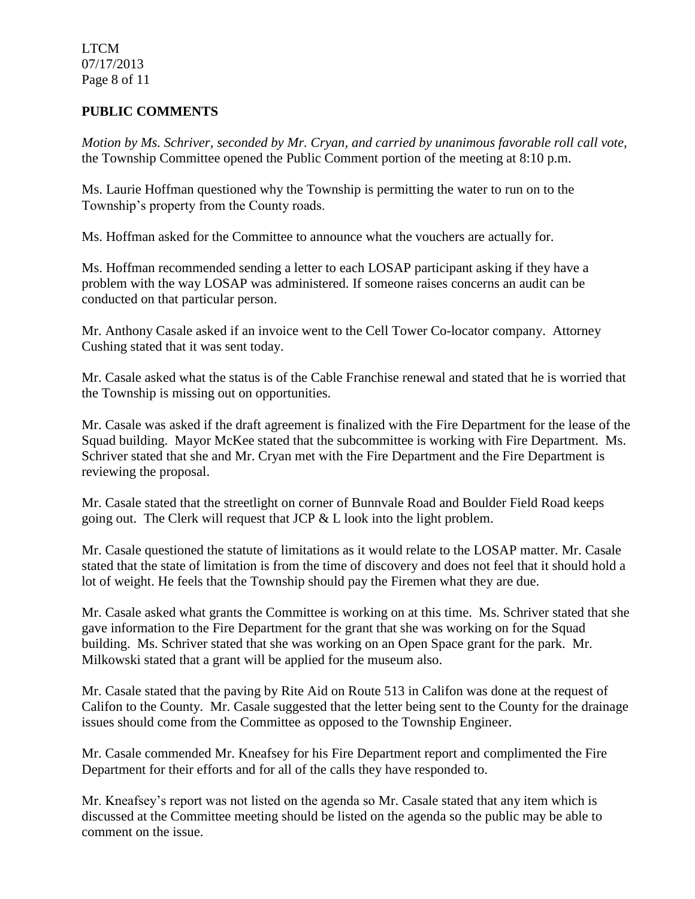LTCM 07/17/2013 Page 8 of 11

# **PUBLIC COMMENTS**

*Motion by Ms. Schriver, seconded by Mr. Cryan, and carried by unanimous favorable roll call vote,* the Township Committee opened the Public Comment portion of the meeting at 8:10 p.m.

Ms. Laurie Hoffman questioned why the Township is permitting the water to run on to the Township's property from the County roads.

Ms. Hoffman asked for the Committee to announce what the vouchers are actually for.

Ms. Hoffman recommended sending a letter to each LOSAP participant asking if they have a problem with the way LOSAP was administered. If someone raises concerns an audit can be conducted on that particular person.

Mr. Anthony Casale asked if an invoice went to the Cell Tower Co-locator company. Attorney Cushing stated that it was sent today.

Mr. Casale asked what the status is of the Cable Franchise renewal and stated that he is worried that the Township is missing out on opportunities.

Mr. Casale was asked if the draft agreement is finalized with the Fire Department for the lease of the Squad building. Mayor McKee stated that the subcommittee is working with Fire Department. Ms. Schriver stated that she and Mr. Cryan met with the Fire Department and the Fire Department is reviewing the proposal.

Mr. Casale stated that the streetlight on corner of Bunnvale Road and Boulder Field Road keeps going out. The Clerk will request that JCP & L look into the light problem.

Mr. Casale questioned the statute of limitations as it would relate to the LOSAP matter. Mr. Casale stated that the state of limitation is from the time of discovery and does not feel that it should hold a lot of weight. He feels that the Township should pay the Firemen what they are due.

Mr. Casale asked what grants the Committee is working on at this time. Ms. Schriver stated that she gave information to the Fire Department for the grant that she was working on for the Squad building. Ms. Schriver stated that she was working on an Open Space grant for the park. Mr. Milkowski stated that a grant will be applied for the museum also.

Mr. Casale stated that the paving by Rite Aid on Route 513 in Califon was done at the request of Califon to the County. Mr. Casale suggested that the letter being sent to the County for the drainage issues should come from the Committee as opposed to the Township Engineer.

Mr. Casale commended Mr. Kneafsey for his Fire Department report and complimented the Fire Department for their efforts and for all of the calls they have responded to.

Mr. Kneafsey's report was not listed on the agenda so Mr. Casale stated that any item which is discussed at the Committee meeting should be listed on the agenda so the public may be able to comment on the issue.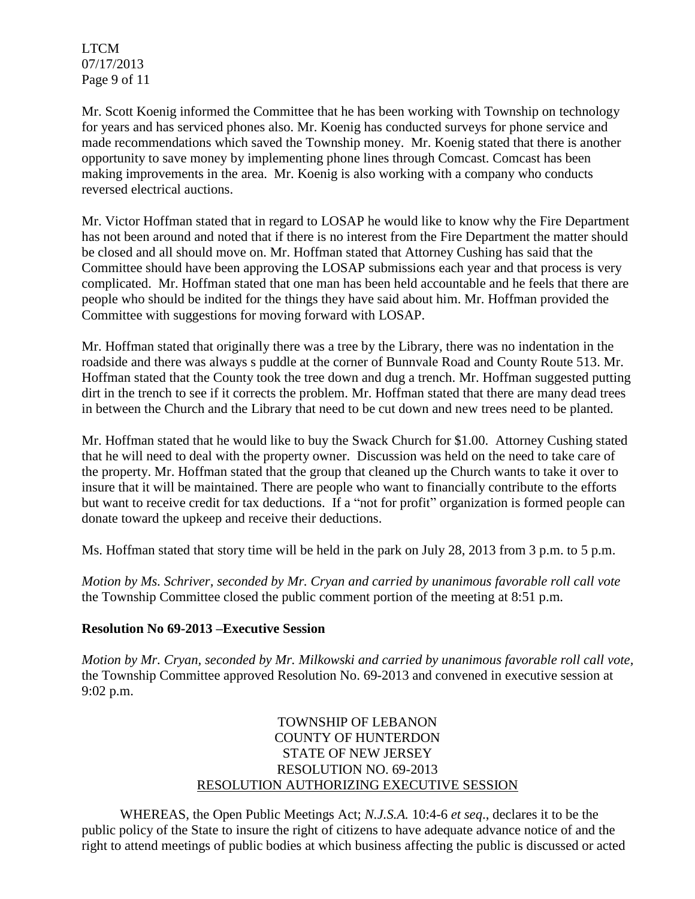LTCM 07/17/2013 Page 9 of 11

Mr. Scott Koenig informed the Committee that he has been working with Township on technology for years and has serviced phones also. Mr. Koenig has conducted surveys for phone service and made recommendations which saved the Township money. Mr. Koenig stated that there is another opportunity to save money by implementing phone lines through Comcast. Comcast has been making improvements in the area. Mr. Koenig is also working with a company who conducts reversed electrical auctions.

Mr. Victor Hoffman stated that in regard to LOSAP he would like to know why the Fire Department has not been around and noted that if there is no interest from the Fire Department the matter should be closed and all should move on. Mr. Hoffman stated that Attorney Cushing has said that the Committee should have been approving the LOSAP submissions each year and that process is very complicated. Mr. Hoffman stated that one man has been held accountable and he feels that there are people who should be indited for the things they have said about him. Mr. Hoffman provided the Committee with suggestions for moving forward with LOSAP.

Mr. Hoffman stated that originally there was a tree by the Library, there was no indentation in the roadside and there was always s puddle at the corner of Bunnvale Road and County Route 513. Mr. Hoffman stated that the County took the tree down and dug a trench. Mr. Hoffman suggested putting dirt in the trench to see if it corrects the problem. Mr. Hoffman stated that there are many dead trees in between the Church and the Library that need to be cut down and new trees need to be planted.

Mr. Hoffman stated that he would like to buy the Swack Church for \$1.00. Attorney Cushing stated that he will need to deal with the property owner. Discussion was held on the need to take care of the property. Mr. Hoffman stated that the group that cleaned up the Church wants to take it over to insure that it will be maintained. There are people who want to financially contribute to the efforts but want to receive credit for tax deductions. If a "not for profit" organization is formed people can donate toward the upkeep and receive their deductions.

Ms. Hoffman stated that story time will be held in the park on July 28, 2013 from 3 p.m. to 5 p.m.

*Motion by Ms. Schriver, seconded by Mr. Cryan and carried by unanimous favorable roll call vote* the Township Committee closed the public comment portion of the meeting at 8:51 p.m.

#### **Resolution No 69-2013 –Executive Session**

*Motion by Mr. Cryan, seconded by Mr. Milkowski and carried by unanimous favorable roll call vote,* the Township Committee approved Resolution No. 69-2013 and convened in executive session at 9:02 p.m.

# TOWNSHIP OF LEBANON COUNTY OF HUNTERDON STATE OF NEW JERSEY RESOLUTION NO. 69-2013 RESOLUTION AUTHORIZING EXECUTIVE SESSION

WHEREAS, the Open Public Meetings Act; *N.J.S.A.* 10:4-6 *et seq*., declares it to be the public policy of the State to insure the right of citizens to have adequate advance notice of and the right to attend meetings of public bodies at which business affecting the public is discussed or acted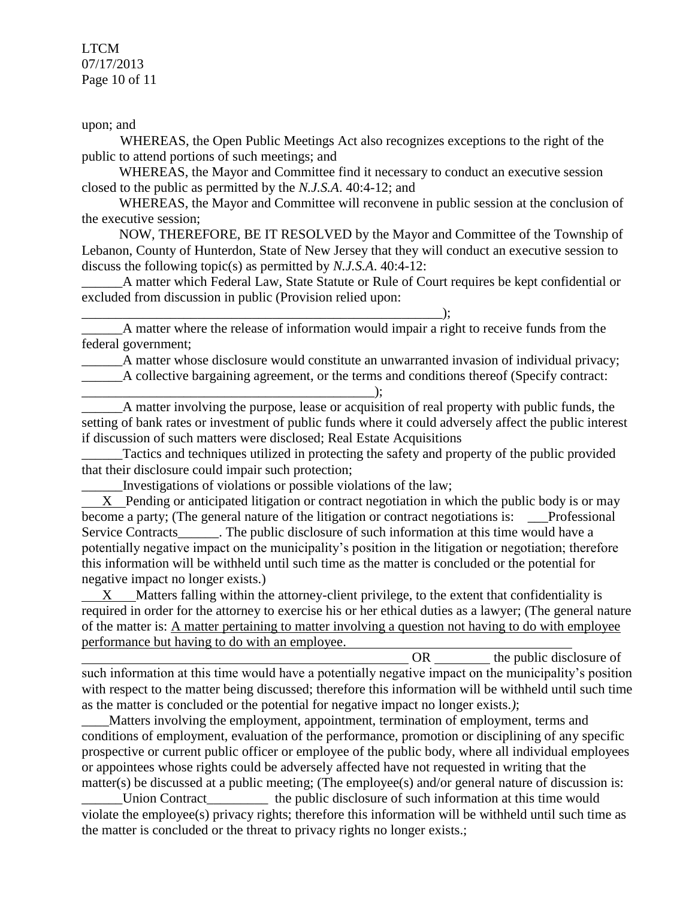LTCM 07/17/2013 Page 10 of 11

upon; and

WHEREAS, the Open Public Meetings Act also recognizes exceptions to the right of the public to attend portions of such meetings; and

 WHEREAS, the Mayor and Committee find it necessary to conduct an executive session closed to the public as permitted by the *N.J.S.A*. 40:4-12; and

 WHEREAS, the Mayor and Committee will reconvene in public session at the conclusion of the executive session;

 NOW, THEREFORE, BE IT RESOLVED by the Mayor and Committee of the Township of Lebanon, County of Hunterdon, State of New Jersey that they will conduct an executive session to discuss the following topic(s) as permitted by *N.J.S.A*. 40:4-12:

A matter which Federal Law, State Statute or Rule of Court requires be kept confidential or excluded from discussion in public (Provision relied upon:

 $\qquad \qquad ; \qquad$ A matter where the release of information would impair a right to receive funds from the federal government;

A matter whose disclosure would constitute an unwarranted invasion of individual privacy; A collective bargaining agreement, or the terms and conditions thereof (Specify contract:

\_\_\_\_\_\_\_\_\_\_\_\_\_\_\_\_\_\_\_\_\_\_\_\_\_\_\_\_\_\_\_\_\_\_\_\_\_\_\_\_\_\_\_); A matter involving the purpose, lease or acquisition of real property with public funds, the setting of bank rates or investment of public funds where it could adversely affect the public interest if discussion of such matters were disclosed; Real Estate Acquisitions

Tactics and techniques utilized in protecting the safety and property of the public provided that their disclosure could impair such protection;

\_\_\_\_\_\_Investigations of violations or possible violations of the law;

 X Pending or anticipated litigation or contract negotiation in which the public body is or may become a party; (The general nature of the litigation or contract negotiations is: \_\_\_Professional Service Contracts The public disclosure of such information at this time would have a potentially negative impact on the municipality's position in the litigation or negotiation; therefore this information will be withheld until such time as the matter is concluded or the potential for negative impact no longer exists.)

 X Matters falling within the attorney-client privilege, to the extent that confidentiality is required in order for the attorney to exercise his or her ethical duties as a lawyer; (The general nature of the matter is: A matter pertaining to matter involving a question not having to do with employee performance but having to do with an employee.

OR the public disclosure of such information at this time would have a potentially negative impact on the municipality's position with respect to the matter being discussed; therefore this information will be withheld until such time as the matter is concluded or the potential for negative impact no longer exists.*)*;

Matters involving the employment, appointment, termination of employment, terms and conditions of employment, evaluation of the performance, promotion or disciplining of any specific prospective or current public officer or employee of the public body, where all individual employees or appointees whose rights could be adversely affected have not requested in writing that the matter(s) be discussed at a public meeting; (The employee(s) and/or general nature of discussion is: Union Contract\_\_\_\_\_\_\_\_\_\_\_\_\_ the public disclosure of such information at this time would violate the employee(s) privacy rights; therefore this information will be withheld until such time as the matter is concluded or the threat to privacy rights no longer exists.;